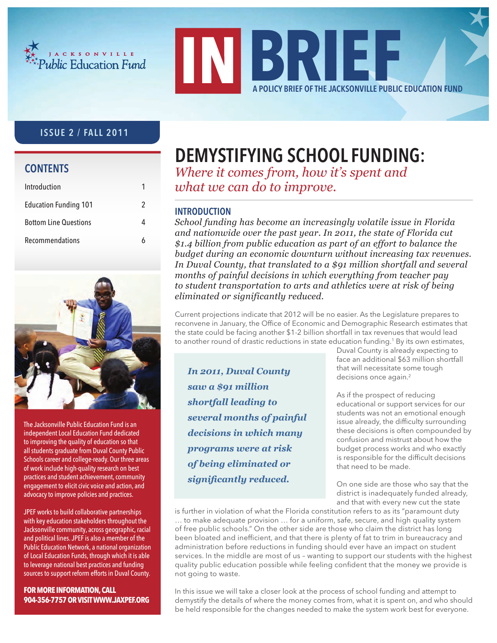



## ISSUE 2 / FALL 2011

## **CONTENTS**

| Introduction                 |   |
|------------------------------|---|
| <b>Education Funding 101</b> | 2 |
| <b>Bottom Line Questions</b> |   |
| Recommendations              |   |



The Jacksonville Public Education Fund is an independent Local Education Fund dedicated to improving the quality of education so that all students graduate from Duval County Public Schools career and college-ready. Our three areas of work include high-quality research on best practices and student achievement, community engagement to elicit civic voice and action, and advocacy to improve policies and practices.

JPEF works to build collaborative partnerships with key education stakeholders throughout the Jacksonville community, across geographic, racial and political lines. JPEF is also a member of the Public Education Network, a national organization of Local Education Funds, through which it is able to leverage national best practices and funding sources to support reform efforts in Duval County.

**FOR MORE INFORMATION, CALL 904-356-7757OR VISITWWW.JAXPEF.ORG**

## DEMYSTIFYING SCHOOL FUNDING:

*Where it comes from, how it's spent and what we can do to improve.*

## **INTRODUCTION**

*School funding has become an increasingly volatile issue in Florida and nationwide over the past year. In 2011, the state of Florida cut \$1.4 billion from public education as part of an effort to balance the budget during an economic downturn without increasing tax revenues. In Duval County, that translated to a \$91 million shortfall and several months of painful decisions in which everything from teacher pay to student transportation to arts and athletics were at risk of being eliminated or significantly reduced.*

Current projections indicate that 2012 will be no easier. As the Legislature prepares to reconvene in January, the Office of Economic and Demographic Research estimates that the state could be facing another \$1-2 billion shortfall in tax revenues that would lead to another round of drastic reductions in state education funding.<sup>1</sup> By its own estimates,

*In 2011, Duval County saw a \$91 million shortfall leading to several months of painful decisions in which many programs were at risk of being eliminated or significantly reduced.* 

Duval County is already expecting to face an additional \$63 million shortfall that will necessitate some tough decisions once again.<sup>2</sup>

As if the prospect of reducing educational or support services for our students was not an emotional enough issue already, the difficulty surrounding these decisions is often compounded by confusion and mistrust about how the budget process works and who exactly is responsible for the difficult decisions that need to be made.

On one side are those who say that the district is inadequately funded already, and that with every new cut the state

is further in violation of what the Florida constitution refers to as its "paramount duty … to make adequate provision … for a uniform, safe, secure, and high quality system of free public schools." On the other side are those who claim the district has long been bloated and inefficient, and that there is plenty of fat to trim in bureaucracy and administration before reductions in funding should ever have an impact on student services. In the middle are most of us – wanting to support our students with the highest quality public education possible while feeling confident that the money we provide is not going to waste.

In this issue we will take a closer look at the process of school funding and attempt to demystify the details of where the money comes from, what it is spent on, and who should be held responsible for the changes needed to make the system work best for everyone.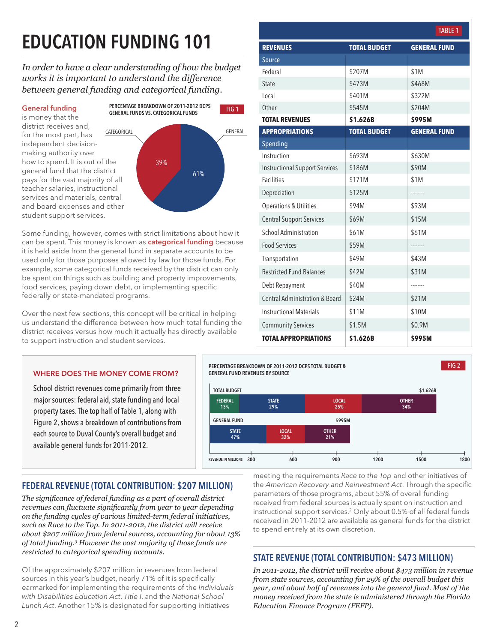# EDUCATION FUNDING 101

*In order to have a clear understanding of how the budget works it is important to understand the difference between general funding and categorical funding.* 

## General funding

is money that the district receives and, for the most part, has independent decisionmaking authority over how to spend. It is out of the general fund that the district pays for the vast majority of all teacher salaries, instructional services and materials, central and board expenses and other student support services.



Some funding, however, comes with strict limitations about how it can be spent. This money is known as **categorical funding** because it is held aside from the general fund in separate accounts to be used only for those purposes allowed by law for those funds. For example, some categorical funds received by the district can only be spent on things such as building and property improvements, food services, paying down debt, or implementing specific federally or state-mandated programs.

Over the next few sections, this concept will be critical in helping us understand the difference between how much total funding the district receives versus how much it actually has directly available to support instruction and student services.

WHERE DOES THE MONEY COME FROM? School district revenues come primarily from three major sources: federal aid, state funding and local property taxes. The top half of Table 1, along with Figure 2, shows a breakdown of contributions from each source to Duval County's overall budget and

available general funds for 2011-2012.

|                                           |                     | <b>TABLE 1</b>      |
|-------------------------------------------|---------------------|---------------------|
| <b>REVENUES</b>                           | <b>TOTAL BUDGET</b> | <b>GENERAL FUND</b> |
| Source                                    |                     |                     |
| Federal                                   | \$207M              | \$1M                |
| State                                     | \$473M              | \$468M              |
| Local                                     | \$401M              | \$322M              |
| Other                                     | \$545M              | \$204M              |
| <b>TOTAL REVENUES</b>                     | \$1.626B            | \$995M              |
| <b>APPROPRIATIONS</b>                     | <b>TOTAL BUDGET</b> | <b>GENERAL FUND</b> |
| Spending                                  |                     |                     |
| Instruction                               | \$693M              | \$630M              |
| <b>Instructional Support Services</b>     | \$186M              | \$90M               |
| <b>Facilities</b>                         | \$171M              | \$1M                |
| Depreciation                              | \$125M              | .                   |
| <b>Operations &amp; Utilities</b>         | \$94M               | \$93M               |
| <b>Central Support Services</b>           | \$69M               | \$15M               |
| <b>School Administration</b>              | \$61M               | \$61M               |
| <b>Food Services</b>                      | \$59M               |                     |
| Transportation                            | \$49M               | \$43M               |
| <b>Restricted Fund Balances</b>           | \$42M               | \$31M               |
| Debt Repayment                            | \$40M               |                     |
| <b>Central Administration &amp; Board</b> | \$24M               | \$21M               |
| <b>Instructional Materials</b>            | \$11M               | \$10M               |
| <b>Community Services</b>                 | \$1.5M              | \$0.9M              |
| <b>TOTAL APPROPRIATIONS</b>               | \$1.626B            | \$995M              |



## FEDERAL REVENUE (TOTAL CONTRIBUTION: \$207 MILLION)

The significance of federal funding as a part of overall district *revenues can fluctuate significantly from year to year depending on the funding cycles of various limited-term federal initiatives, such as Race to the Top. In 2011-2012, the district will receive about \$207 million from federal sources, accounting for about 13% of total funding.3 However the vast majority of those funds are restricted to categorical spending accounts.* 

Of the approximately \$207 million in revenues from federal sources in this year's budget, nearly 71% of it is specifically earmarked for implementing the requirements of the Individuals with Disabilities Education Act, Title I, and the National School Lunch Act. Another 15% is designated for supporting initiatives

meeting the requirements Race to the Top and other initiatives of the American Recovery and Reinvestment Act. Through the specific parameters of those programs, about 55% of overall funding received from federal sources is actually spent on instruction and instructional support services.2 Only about 0.5% of all federal funds received in 2011-2012 are available as general funds for the district to spend entirely at its own discretion.

## STATE REVENUE (TOTAL CONTRIBUTION: \$473 MILLION)

*In 2011-2012, the district will receive about \$473 million in revenue from state sources, accounting for 29% of the overall budget this year, and about half of revenues into the general fund. Most of the money received from the state is administered through the Florida Education Finance Program (FEFP).*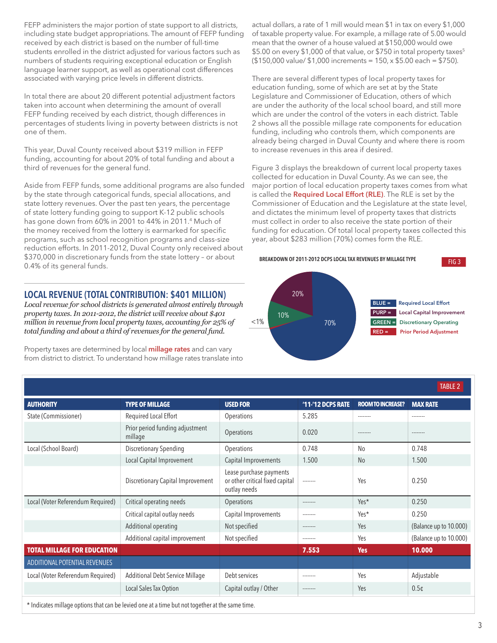FEFP administers the major portion of state support to all districts, including state budget appropriations. The amount of FEFP funding received by each district is based on the number of full-time students enrolled in the district adjusted for various factors such as numbers of students requiring exceptional education or English language learner support, as well as operational cost differences associated with varying price levels in different districts.

In total there are about 20 different potential adjustment factors taken into account when determining the amount of overall FEFP funding received by each district, though differences in percentages of students living in poverty between districts is not one of them.

This year, Duval County received about \$319 million in FEFP funding, accounting for about 20% of total funding and about a third of revenues for the general fund.

Aside from FEFP funds, some additional programs are also funded by the state through categorical funds, special allocations, and state lottery revenues. Over the past ten years, the percentage of state lottery funding going to support K-12 public schools has gone down from 60% in 2001 to 44% in 2011.<sup>4</sup> Much of the money received from the lottery is earmarked for specific programs, such as school recognition programs and class-size reduction efforts. In 2011-2012, Duval County only received about \$370,000 in discretionary funds from the state lottery – or about 0.4% of its general funds.

## LOCAL REVENUE (TOTAL CONTRIBUTION: \$401 MILLION)

*Local revenue for school districts is generated almost entirely through property taxes. In 2011-2012, the district will receive about \$401 million in revenue from local property taxes, accounting for 25% of total funding and about a third of revenues for the general fund.*

Property taxes are determined by local **millage rates** and can vary from district to district. To understand how millage rates translate into actual dollars, a rate of 1 mill would mean \$1 in tax on every \$1,000 of taxable property value. For example, a millage rate of 5.00 would mean that the owner of a house valued at \$150,000 would owe \$5.00 on every \$1,000 of that value, or \$750 in total property taxes<sup>5</sup> (\$150,000 value/ \$1,000 increments = 150, x \$5.00 each = \$750).

There are several different types of local property taxes for education funding, some of which are set at by the State Legislature and Commissioner of Education, others of which are under the authority of the local school board, and still more which are under the control of the voters in each district. Table 2 shows all the possible millage rate components for education funding, including who controls them, which components are already being charged in Duval County and where there is room to increase revenues in this area if desired.

Figure 3 displays the breakdown of current local property taxes collected for education in Duval County. As we can see, the major portion of local education property taxes comes from what is called the **Required Local Effort (RLE)**. The RLE is set by the Commissioner of Education and the Legislature at the state level, and dictates the minimum level of property taxes that districts must collect in order to also receive the state portion of their funding for education. Of total local property taxes collected this year, about \$283 million (70%) comes form the RLE.



|                                    |                                            |                                                                            |                   |                          | <b>TABLE 2</b>         |
|------------------------------------|--------------------------------------------|----------------------------------------------------------------------------|-------------------|--------------------------|------------------------|
| <b>AUTHORITY</b>                   | <b>TYPE OF MILLAGE</b>                     | <b>USED FOR</b>                                                            | '11-'12 DCPS RATE | <b>ROOM TO INCREASE?</b> | <b>MAX RATE</b>        |
| State (Commissioner)               | Required Local Effort                      | <b>Operations</b>                                                          | 5.285             | --------                 | --------               |
|                                    | Prior period funding adjustment<br>millage | <b>Operations</b>                                                          | 0.020             | --------                 | --------               |
| Local (School Board)               | <b>Discretionary Spending</b>              | Operations                                                                 | 0.748             | N <sub>0</sub>           | 0.748                  |
|                                    | Local Capital Improvement                  | Capital Improvements                                                       | 1.500             | N <sub>0</sub>           | 1.500                  |
|                                    | <b>Discretionary Capital Improvement</b>   | Lease purchase payments<br>or other critical fixed capital<br>outlay needs | --------          | Yes                      | 0.250                  |
| Local (Voter Referendum Required)  | Critical operating needs                   | Operations                                                                 | --------          | Yes*                     | 0.250                  |
|                                    | Critical capital outlay needs              | Capital Improvements                                                       | --------          | Yes*                     | 0.250                  |
|                                    | Additional operating                       | Not specified                                                              | --------          | Yes                      | (Balance up to 10.000) |
|                                    | Additional capital improvement             | Not specified                                                              | --------          | Yes                      | (Balance up to 10.000) |
| <b>TOTAL MILLAGE FOR EDUCATION</b> |                                            |                                                                            | 7.553             | <b>Yes</b>               | 10.000                 |
| ADDITIONAL POTENTIAL REVENUES      |                                            |                                                                            |                   |                          |                        |
| Local (Voter Referendum Required)  | Additional Debt Service Millage            | Debt services                                                              | --------          | Yes                      | Adjustable             |
|                                    | Local Sales Tax Option                     | Capital outlay / Other                                                     | --------          | Yes                      | 0.5 <sub>¢</sub>       |

\* Indicates millage options that can be levied one at a time but not together at the same time.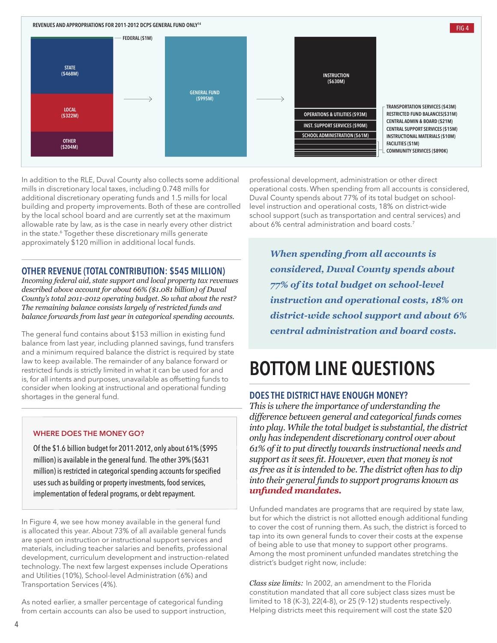

In addition to the RLE, Duval County also collects some additional mills in discretionary local taxes, including 0.748 mills for additional discretionary operating funds and 1.5 mills for local building and property improvements. Both of these are controlled by the local school board and are currently set at the maximum allowable rate by law, as is the case in nearly every other district in the state.<sup>6</sup> Together these discretionary mills generate approximately \$120 million in additional local funds.

### OTHER REVENUE (TOTAL CONTRIBUTION: \$545 MILLION)

*Incoming federal aid, state support and local property tax revenues described above account for about 66% (\$1.081 billion) of Duval County's total 2011-2012 operating budget. So what about the rest? The remaining balance consists largely of restricted funds and balance forwards from last year in categorical spending accounts.* 

The general fund contains about \$153 million in existing fund balance from last year, including planned savings, fund transfers and a minimum required balance the district is required by state law to keep available. The remainder of any balance forward or restricted funds is strictly limited in what it can be used for and is, for all intents and purposes, unavailable as offsetting funds to consider when looking at instructional and operational funding shortages in the general fund.

#### WHERE DOES THE MONEY GO?

Of the \$1.6 billion budget for 2011-2012, only about 61% (\$995 million) is available in the general fund. The other 39% (\$631 million) is restricted in categorical spending accounts for specified uses such as building or property investments, food services, implementation of federal programs, or debt repayment.

In Figure 4, we see how money available in the general fund is allocated this year. About 73% of all available general funds are spent on instruction or instructional support services and materials, including teacher salaries and benefits, professional development, curriculum development and instruction-related technology. The next few largest expenses include Operations and Utilities (10%), School-level Administration (6%) and Transportation Services (4%).

As noted earlier, a smaller percentage of categorical funding from certain accounts can also be used to support instruction,

professional development, administration or other direct operational costs. When spending from all accounts is considered, Duval County spends about 77% of its total budget on schoollevel instruction and operational costs, 18% on district-wide school support (such as transportation and central services) and about 6% central administration and board costs.7

*When spending from all accounts is considered, Duval County spends about 77% of its total budget on school-level instruction and operational costs, 18% on district-wide school support and about 6% <i><u>central</u> administration* and *board* costs.

## BOTTOM LINE QUESTIONS

## DOES THE DISTRICT HAVE ENOUGH MONEY?

*This is where the importance of understanding the difference between general and categorical funds comes into play. While the total budget is substantial, the district only has independent discretionary control over about 61% of it to put directly towards instructional needs and*  support as it sees fit. However, even that money is not *as free as it is intended to be. The district often has to dip into their general funds to support programs known as <i><u>Infunded</u>* mandates.

Unfunded mandates are programs that are required by state law, but for which the district is not allotted enough additional funding to cover the cost of running them. As such, the district is forced to tap into its own general funds to cover their costs at the expense of being able to use that money to support other programs. Among the most prominent unfunded mandates stretching the district's budget right now, include:

*Class size limits:* In 2002, an amendment to the Florida constitution mandated that all core subject class sizes must be limited to 18 (K-3), 22(4-8), or 25 (9-12) students respectively. Helping districts meet this requirement will cost the state \$20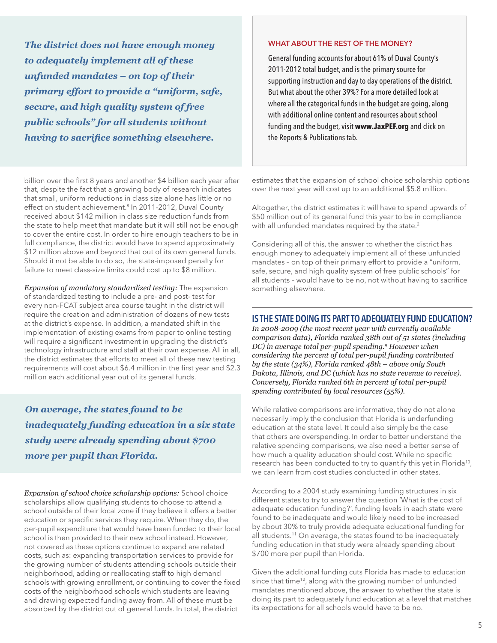*The district does not have enough money to adequately implement all of these unfunded mandates – on top of their primary effort to provide a "uniform, safe, secure, and high quality system of free public schools" for all students without having to sacrifice something elsewhere.* 

billion over the first 8 years and another \$4 billion each year after that, despite the fact that a growing body of research indicates that small, uniform reductions in class size alone has little or no effect on student achievement.<sup>8</sup> In 2011-2012, Duval County received about \$142 million in class size reduction funds from the state to help meet that mandate but it will still not be enough to cover the entire cost. In order to hire enough teachers to be in full compliance, the district would have to spend approximately \$12 million above and beyond that out of its own general funds. Should it not be able to do so, the state-imposed penalty for failure to meet class-size limits could cost up to \$8 million.

*Expansion of mandatory standardized testing:* The expansion of standardized testing to include a pre- and post- test for every non-FCAT subject area course taught in the district will require the creation and administration of dozens of new tests at the district's expense. In addition, a mandated shift in the implementation of existing exams from paper to online testing will require a significant investment in upgrading the district's technology infrastructure and staff at their own expense. All in all, the district estimates that efforts to meet all of these new testing requirements will cost about \$6.4 million in the first year and \$2.3 million each additional year out of its general funds.

*On average, the states found to be inadequately funding education in a six state study were already spending about \$700 PRUAY PRUPIL than Florida.* 

*Expansion of school choice scholarship options:* School choice scholarships allow qualifying students to choose to attend a school outside of their local zone if they believe it offers a better education or specific services they require. When they do, the per-pupil expenditure that would have been funded to their local school is then provided to their new school instead. However, not covered as these options continue to expand are related costs, such as: expanding transportation services to provide for the growing number of students attending schools outside their neighborhood, adding or reallocating staff to high demand schools with growing enrollment, or continuing to cover the fixed costs of the neighborhood schools which students are leaving and drawing expected funding away from. All of these must be absorbed by the district out of general funds. In total, the district

#### WHAT ABOUT THE REST OF THE MONEY?

General funding accounts for about 61% of Duval County's 2011-2012 total budget, and is the primary source for supporting instruction and day to day operations of the district. But what about the other 39%? For a more detailed look at where all the categorical funds in the budget are going, along with additional online content and resources about school funding and the budget, visit **www.JaxPEF.org** and click on the Reports & Publications tab.

estimates that the expansion of school choice scholarship options over the next year will cost up to an additional \$5.8 million.

Altogether, the district estimates it will have to spend upwards of \$50 million out of its general fund this year to be in compliance with all unfunded mandates required by the state.<sup>2</sup>

Considering all of this, the answer to whether the district has enough money to adequately implement all of these unfunded mandates – on top of their primary effort to provide a "uniform, safe, secure, and high quality system of free public schools" for all students – would have to be no, not without having to sacrifice something elsewhere.

### IS THE STATE DOING ITS PART TO ADEQUATELY FUND EDUCATION?

*In 2008-2009 (the most recent year with currently available comparison data), Florida ranked 38th out of 51 states (including DC) in average total per-pupil spending.9 However when considering the percent of total per-pupil funding contributed by the state (34%), Florida ranked 48th – above only South Dakota, Illinois, and DC (which has no state revenue to receive). Conversely, Florida ranked 6th in percent of total per-pupil spending contributed by local resources (55%).* 

While relative comparisons are informative, they do not alone necessarily imply the conclusion that Florida is underfunding education at the state level. It could also simply be the case that others are overspending. In order to better understand the relative spending comparisons, we also need a better sense of how much a quality education should cost. While no specific research has been conducted to try to quantify this yet in Florida<sup>10</sup>, we can learn from cost studies conducted in other states.

According to a 2004 study examining funding structures in six different states to try to answer the question 'What is the cost of adequate education funding?', funding levels in each state were found to be inadequate and would likely need to be increased by about 30% to truly provide adequate educational funding for all students.11 On average, the states found to be inadequately funding education in that study were already spending about \$700 more per pupil than Florida.

Given the additional funding cuts Florida has made to education since that time<sup>12</sup>, along with the growing number of unfunded mandates mentioned above, the answer to whether the state is doing its part to adequately fund education at a level that matches its expectations for all schools would have to be no.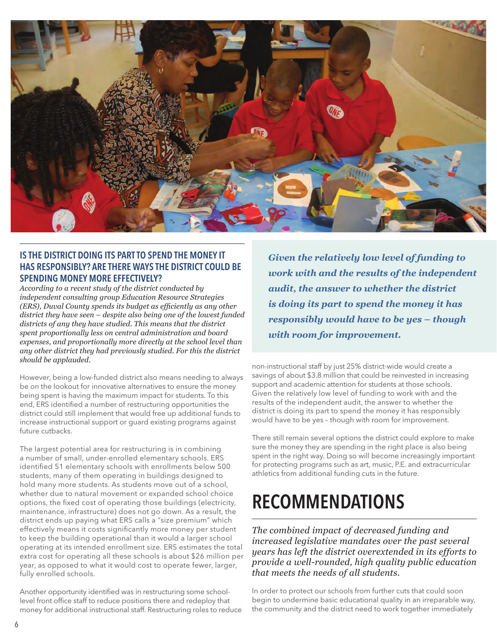

## IS THE DISTRICT DOING ITS PART TO SPEND THE MONEY IT HAS RESPONSIBLY? ARE THERE WAYS THE DISTRICT COULD BE SPENDING MONEY MORE EFFECTIVELY?

*According to a recent study of the district conducted by independent consulting group Education Resource Strategies (ERS), Duval County spends its budget as efficiently as any other district they have seen – despite also being one of the lowest funded districts of any they have studied. This means that the district spent proportionally less on central administration and board expenses, and proportionally more directly at the school level than any other district they had previously studied. For this the district should be applauded.* 

However, being a low-funded district also means needing to always be on the lookout for innovative alternatives to ensure the money being spent is having the maximum impact for students. To this end, ERS identified a number of restructuring opportunities the district could still implement that would free up additional funds to increase instructional support or guard existing programs against future cutbacks.

The largest potential area for restructuring is in combining a number of small, under-enrolled elementary schools. ERS identified 51 elementary schools with enrollments below 500 students, many of them operating in buildings designed to hold many more students. As students move out of a school, whether due to natural movement or expanded school choice options, the fixed cost of operating those buildings (electricity, maintenance, infrastructure) does not go down. As a result, the district ends up paying what ERS calls a "size premium" which effectively means it costs significantly more money per student to keep the building operational than it would a larger school operating at its intended enrollment size. ERS estimates the total extra cost for operating all these schools is about \$26 million per year, as opposed to what it would cost to operate fewer, larger, fully enrolled schools.

Another opportunity identified was in restructuring some schoollevel front office staff to reduce positions there and redeploy that money for additional instructional staff. Restructuring roles to reduce *Given the relatively low level of funding to work with and the results of the independent audit, the answer to whether the district is doing its part to spend the money it has responsibly would have to be yes – though <u>with room for improvement.</u>* 

non-instructional staff by just 25% district-wide would create a savings of about \$3.8 million that could be reinvested in increasing support and academic attention for students at those schools. Given the relatively low level of funding to work with and the results of the independent audit, the answer to whether the district is doing its part to spend the money it has responsibly would have to be yes – though with room for improvement.

There still remain several options the district could explore to make sure the money they are spending in the right place is also being spent in the right way. Doing so will become increasingly important for protecting programs such as art, music, P.E. and extracurricular athletics from additional funding cuts in the future.

## RECOMMENDATIONS

*The combined impact of decreased funding and increased legislative mandates over the past several years has left the district overextended in its efforts to provide a well-rounded, high quality public education that meets the needs of all students.* 

In order to protect our schools from further cuts that could soon begin to undermine basic educational quality in an irreparable way, the community and the district need to work together immediately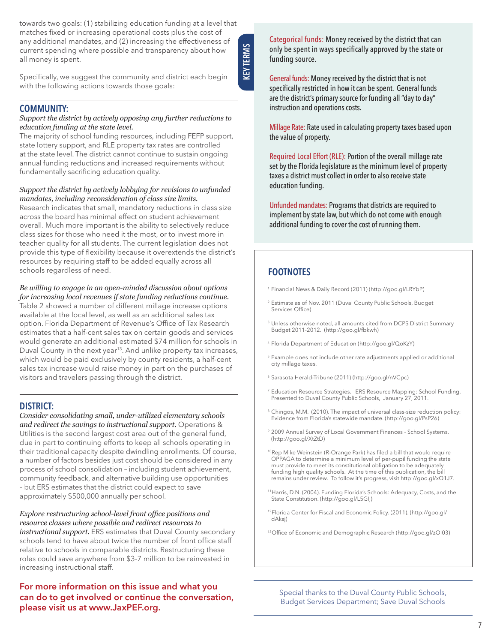towards two goals: (1) stabilizing education funding at a level that matches fixed or increasing operational costs plus the cost of any additional mandates, and (2) increasing the effectiveness of current spending where possible and transparency about how all money is spent.

**KEYTERMS** KEY TERMS

Specifically, we suggest the community and district each begin with the following actions towards those goals:

### COMMUNITY:

#### *Support the district by actively opposing any further reductions to education funding at the state level.*

The majority of school funding resources, including FEFP support, state lottery support, and RLE property tax rates are controlled at the state level. The district cannot continue to sustain ongoing annual funding reductions and increased requirements without fundamentally sacrificing education quality.

#### *Support the district by actively lobbying for revisions to unfunded mandates, including reconsideration of class size limits.*

Research indicates that small, mandatory reductions in class size across the board has minimal effect on student achievement overall. Much more important is the ability to selectively reduce class sizes for those who need it the most, or to invest more in teacher quality for all students. The current legislation does not provide this type of flexibility because it overextends the district's resources by requiring staff to be added equally across all schools regardless of need.

#### *Be willing to engage in an open-minded discussion about options for increasing local revenues if state funding reductions continue.*

Table 2 showed a number of different millage increase options available at the local level, as well as an additional sales tax option. Florida Department of Revenue's Office of Tax Research estimates that a half-cent sales tax on certain goods and services would generate an additional estimated \$74 million for schools in Duval County in the next year<sup>13</sup>. And unlike property tax increases, which would be paid exclusively by county residents, a half-cent sales tax increase would raise money in part on the purchases of visitors and travelers passing through the district.

## DISTRICT:

*Consider consolidating small, under-utilized elementary schools and redirect the savings to instructional support.* Operations & Utilities is the second largest cost area out of the general fund, due in part to continuing efforts to keep all schools operating in their traditional capacity despite dwindling enrollments. Of course, a number of factors besides just cost should be considered in any process of school consolidation – including student achievement, community feedback, and alternative building use opportunities – but ERS estimates that the district could expect to save approximately \$500,000 annually per school.

#### Explore restructuring school-level front office positions and *resource classes where possible and redirect resources to*

*instructional support.* ERS estimates that Duval County secondary schools tend to have about twice the number of front office staff relative to schools in comparable districts. Restructuring these roles could save anywhere from \$3-7 million to be reinvested in increasing instructional staff.

## For more information on this issue and what you can do to get involved or continue the conversation, please visit us at www.JaxPEF.org.

Categorical funds: Money received by the district that can only be spent in ways specifically approved by the state or funding source.

General funds: Money received by the district that is not specifically restricted in how it can be spent. General funds are the district's primary source for funding all "day to day" instruction and operations costs.

Millage Rate: Rate used in calculating property taxes based upon the value of property.

Required Local Effort (RLE): Portion of the overall millage rate set by the Florida legislature as the minimum level of property taxes a district must collect in order to also receive state education funding.

Unfunded mandates: Programs that districts are required to implement by state law, but which do not come with enough additional funding to cover the cost of running them.

## FOOTNOTES

- 1 Financial News & Daily Record (2011) (http://goo.gl/LRYbP)
- 2 Estimate as of Nov. 2011 (Duval County Public Schools, Budget Services Office)
- <sup>3</sup> Unless otherwise noted, all amounts cited from DCPS District Summary Budget 2011-2012. (http://goo.gl/fbkwh)
- 4 Florida Department of Education (http://goo.gl/QoKzY)
- 5 Example does not include other rate adjustments applied or additional city millage taxes.
- 6 Sarasota Herald-Tribune (2011) (http://goo.gl/nVCpc)
- 7 Education Resource Strategies. ERS Resource Mapping: School Funding. Presented to Duval County Public Schools, January 27, 2011.
- <sup>8</sup> Chingos, M.M. (2010). The impact of universal class-size reduction policy: Evidence from Florida's statewide mandate. (http://goo.gl/PsP26)
- 9 2009 Annual Survey of Local Government Finances School Systems. (http://goo.gl/XtZtD)
- 10 Rep Mike Weinstein (R-Orange Park) has filed a bill that would require OPPAGA to determine a minimum level of per-pupil funding the state must provide to meet its constitutional obligation to be adequately funding high quality schools. At the time of this publication, the bill remains under review. To follow it's progress, visit http://goo.gl/xQ1J7.
- 11 Harris, D.N. (2004). Funding Florida's Schools: Adequacy, Costs, and the State Constitution. (http://goo.gl/L5GIj)
- 12 Florida Center for Fiscal and Economic Policy. (2011). (http://goo.gl/ dAksj)
- 13 Office of Economic and Demographic Research (http://goo.gl/zOl03)

Special thanks to the Duval County Public Schools, Budget Services Department; Save Duval Schools